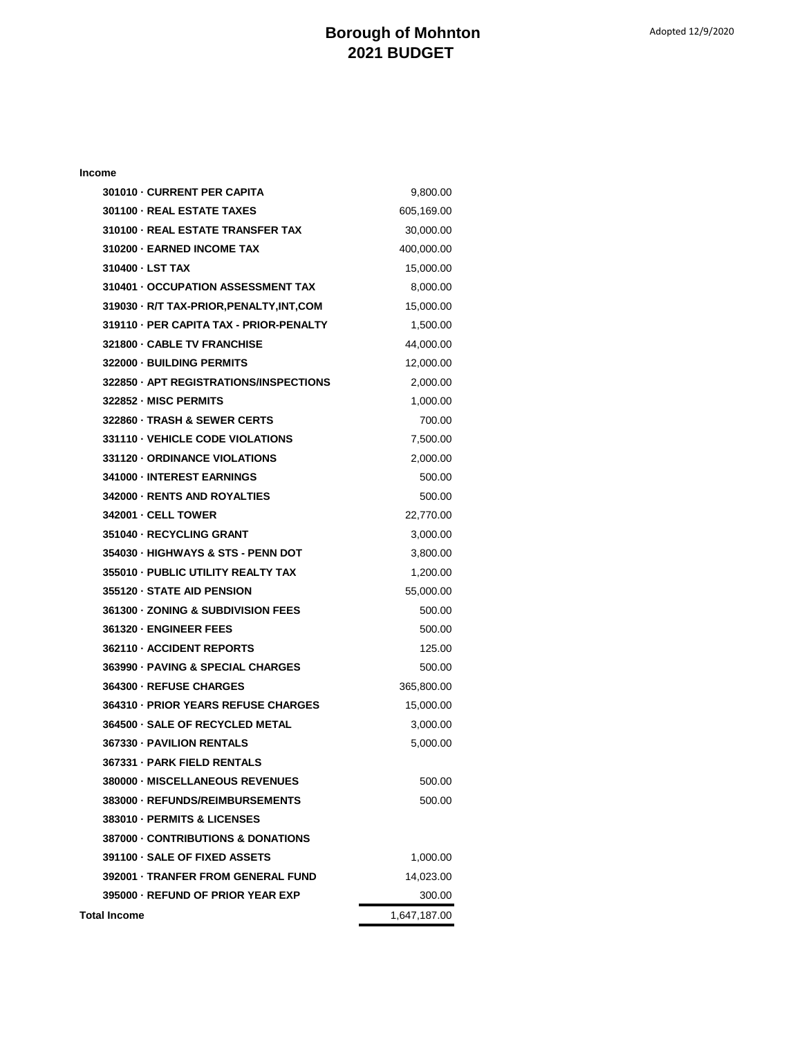## **Borough of Mohnton 2021 BUDGET**

| 301010 - CURRENT PER CAPITA                   | 9,800.00     |
|-----------------------------------------------|--------------|
| 301100 - REAL ESTATE TAXES                    | 605,169.00   |
| 310100 - REAL ESTATE TRANSFER TAX             | 30,000.00    |
| 310200 - EARNED INCOME TAX                    | 400,000.00   |
| 310400 - LST TAX                              | 15,000.00    |
| 310401 - OCCUPATION ASSESSMENT TAX            | 8,000.00     |
| 319030 - R/T TAX-PRIOR, PENALTY, INT, COM     | 15,000.00    |
| 319110 - PER CAPITA TAX - PRIOR-PENALTY       | 1,500.00     |
| 321800 - CABLE TV FRANCHISE                   | 44,000.00    |
| 322000 - BUILDING PERMITS                     | 12,000.00    |
| 322850 - APT REGISTRATIONS/INSPECTIONS        | 2,000.00     |
| 322852 - MISC PERMITS                         | 1,000.00     |
| 322860 - TRASH & SEWER CERTS                  | 700.00       |
| 331110 - VEHICLE CODE VIOLATIONS              | 7,500.00     |
| 331120 - ORDINANCE VIOLATIONS                 | 2,000.00     |
| 341000 - INTEREST EARNINGS                    | 500.00       |
| 342000 - RENTS AND ROYALTIES                  | 500.00       |
| <b>342001 - CELL TOWER</b>                    | 22,770.00    |
| 351040 - RECYCLING GRANT                      | 3,000.00     |
| 354030 - HIGHWAYS & STS - PENN DOT            | 3,800.00     |
| 355010 - PUBLIC UTILITY REALTY TAX            | 1,200.00     |
| 355120 - STATE AID PENSION                    | 55,000.00    |
| <b>361300 - ZONING &amp; SUBDIVISION FEES</b> | 500.00       |
| 361320 - ENGINEER FEES                        | 500.00       |
| 362110 - ACCIDENT REPORTS                     | 125.00       |
| 363990 - PAVING & SPECIAL CHARGES             | 500.00       |
| 364300 - REFUSE CHARGES                       | 365,800.00   |
| 364310 - PRIOR YEARS REFUSE CHARGES           | 15,000.00    |
| 364500 - SALE OF RECYCLED METAL               | 3,000.00     |
| 367330 - PAVILION RENTALS                     | 5,000.00     |
| 367331 - PARK FIELD RENTALS                   |              |
| 380000 - MISCELLANEOUS REVENUES               | 500.00       |
| 383000 - REFUNDS/REIMBURSEMENTS               | 500.00       |
| 383010 - PERMITS & LICENSES                   |              |
| 387000 - CONTRIBUTIONS & DONATIONS            |              |
| 391100 - SALE OF FIXED ASSETS                 | 1,000.00     |
| 392001 - TRANFER FROM GENERAL FUND            | 14,023.00    |
| 395000 - REFUND OF PRIOR YEAR EXP             | 300.00       |
| Total Income                                  | 1,647,187.00 |

**Income**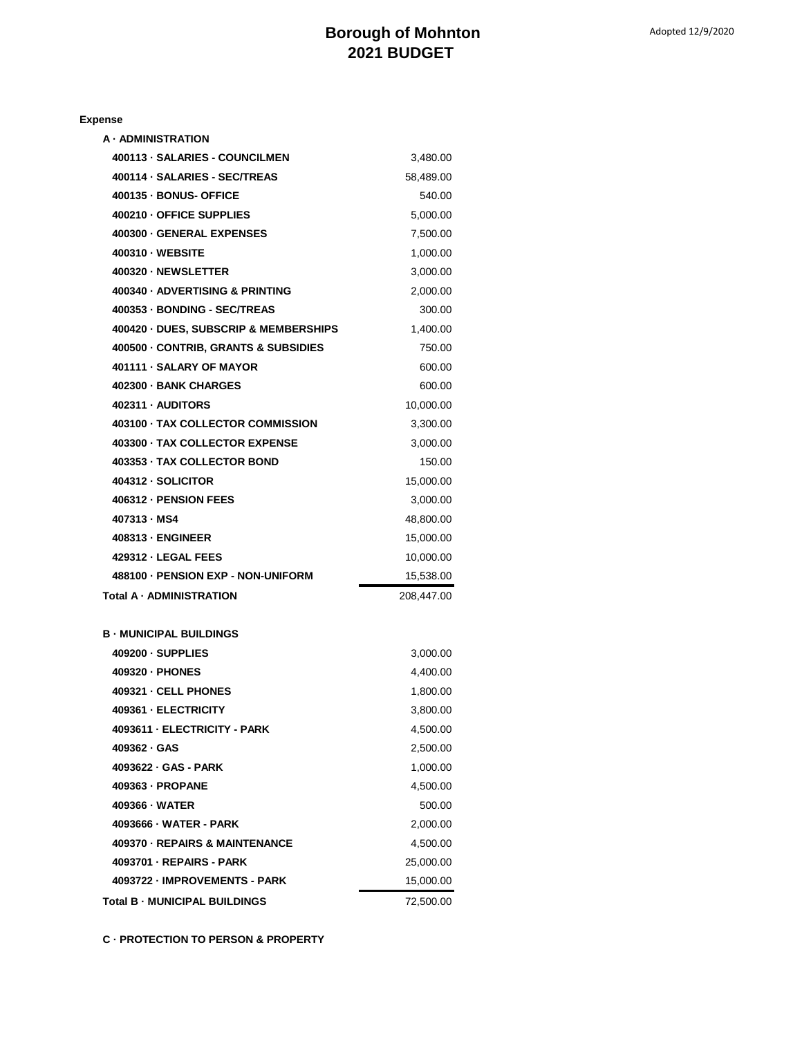| e<br>. .<br>г<br>-<br>г<br>-- |
|-------------------------------|
|-------------------------------|

| <b>A · ADMINISTRATION</b>             |            |
|---------------------------------------|------------|
| 400113 - SALARIES - COUNCILMEN        | 3,480.00   |
| 400114 · SALARIES - SEC/TREAS         | 58,489.00  |
| 400135 - BONUS- OFFICE                | 540.00     |
| 400210 OFFICE SUPPLIES                | 5,000.00   |
| 400300 - GENERAL EXPENSES             | 7,500.00   |
| 400310 · WEBSITE                      | 1,000.00   |
| 400320 - NEWSLETTER                   | 3,000.00   |
| 400340 - ADVERTISING & PRINTING       | 2,000.00   |
| 400353 - BONDING - SEC/TREAS          | 300.00     |
| 400420 - DUES, SUBSCRIP & MEMBERSHIPS | 1,400.00   |
| 400500 - CONTRIB, GRANTS & SUBSIDIES  | 750.00     |
| 401111 - SALARY OF MAYOR              | 600.00     |
| 402300 - BANK CHARGES                 | 600.00     |
| 402311 - AUDITORS                     | 10.000.00  |
| 403100 - TAX COLLECTOR COMMISSION     | 3,300.00   |
| 403300 - TAX COLLECTOR EXPENSE        | 3,000.00   |
| 403353 - TAX COLLECTOR BOND           | 150.00     |
| 404312 - SOLICITOR                    | 15,000.00  |
| 406312 - PENSION FEES                 | 3,000.00   |
| 407313 - MS4                          | 48,800.00  |
| 408313 - ENGINEER                     | 15,000.00  |
| 429312 - LEGAL FEES                   | 10,000.00  |
| 488100 - PENSION EXP - NON-UNIFORM    | 15,538.00  |
| Total A · ADMINISTRATION              | 208,447.00 |
|                                       |            |
| <b>B · MUNICIPAL BUILDINGS</b>        |            |
| 409200 - SUPPLIES                     | 3,000.00   |
| 409320 - PHONES                       | 4,400.00   |
| 409321 - CELL PHONES                  | 1,800.00   |
| 409361 - ELECTRICITY                  | 3,800.00   |
| 4093611 - ELECTRICITY - PARK          | 4,500.00   |
| 409362 · GAS                          | 2,500.00   |
| 4093622 - GAS - PARK                  | 1,000.00   |
| 409363 - PROPANE                      | 4,500.00   |
| 409366 - WATER                        | 500.00     |
| 4093666 - WATER - PARK                | 2,000.00   |
| 409370 - REPAIRS & MAINTENANCE        | 4,500.00   |
| 4093701 - REPAIRS - PARK              | 25,000.00  |
| 4093722 - IMPROVEMENTS - PARK         | 15,000.00  |
| Total B - MUNICIPAL BUILDINGS         | 72,500.00  |
|                                       |            |

**C · PROTECTION TO PERSON & PROPERTY**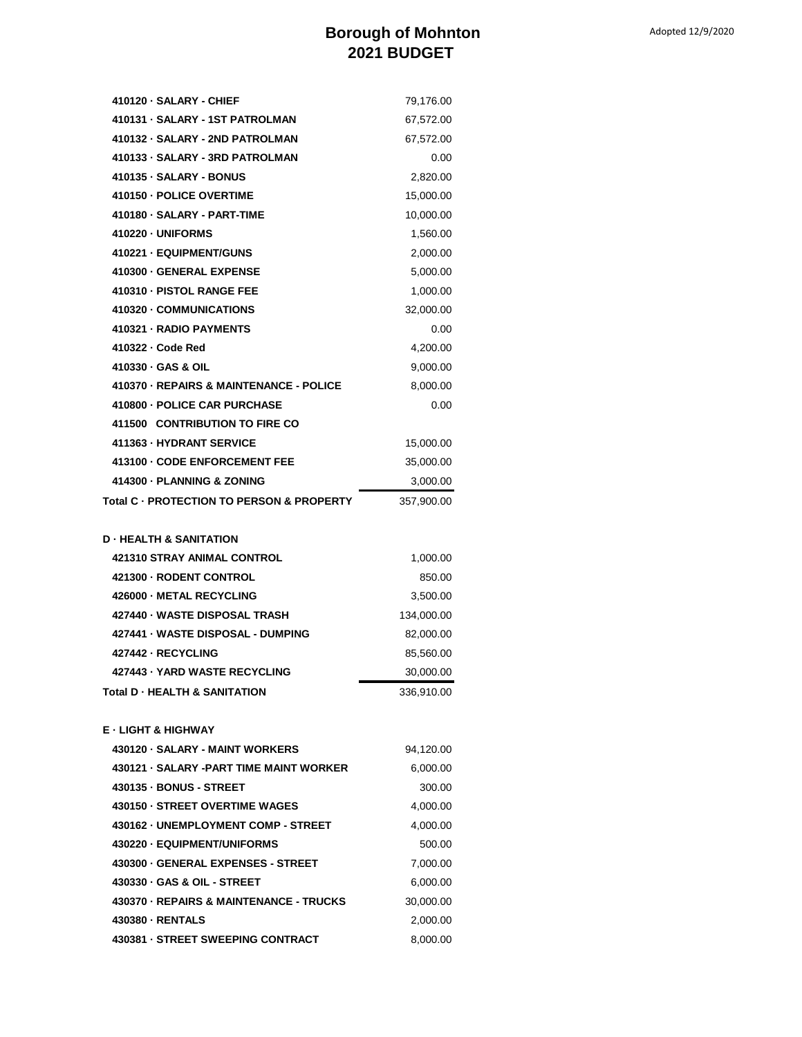## **Borough of Mohnton 2021 BUDGET**

| 410120 - SALARY - CHIEF                             | 79,176.00  |
|-----------------------------------------------------|------------|
| 410131 - SALARY - 1ST PATROLMAN                     | 67,572.00  |
| 410132 - SALARY - 2ND PATROLMAN                     | 67,572.00  |
| 410133 - SALARY - 3RD PATROLMAN                     | 0.00       |
| 410135 - SALARY - BONUS                             | 2,820.00   |
| 410150 - POLICE OVERTIME                            | 15,000.00  |
| 410180 - SALARY - PART-TIME                         | 10,000.00  |
| 410220 - UNIFORMS                                   | 1,560.00   |
| 410221 - EQUIPMENT/GUNS                             | 2,000.00   |
| 410300 - GENERAL EXPENSE                            | 5,000.00   |
| 410310 - PISTOL RANGE FEE                           | 1,000.00   |
| 410320 - COMMUNICATIONS                             | 32,000.00  |
| 410321 - RADIO PAYMENTS                             | 0.00       |
| 410322 - Code Red                                   | 4,200.00   |
| 410330 - GAS & OIL                                  | 9,000.00   |
| 410370 - REPAIRS & MAINTENANCE - POLICE             | 8,000.00   |
| 410800 - POLICE CAR PURCHASE                        | 0.00       |
| 411500 CONTRIBUTION TO FIRE CO                      |            |
| 411363 - HYDRANT SERVICE                            | 15,000.00  |
| 413100 - CODE ENFORCEMENT FEE                       | 35,000.00  |
| 414300 - PLANNING & ZONING                          | 3,000.00   |
| Total C · PROTECTION TO PERSON & PROPERTY           | 357,900.00 |
|                                                     |            |
| <b>D - HEALTH &amp; SANITATION</b>                  |            |
| <b>421310 STRAY ANIMAL CONTROL</b>                  | 1,000.00   |
| 421300 - RODENT CONTROL                             | 850.00     |
| 426000 - METAL RECYCLING                            | 3,500.00   |
| 427440 - WASTE DISPOSAL TRASH                       | 134,000.00 |
| 427441 - WASTE DISPOSAL - DUMPING                   | 82,000.00  |
| 427442 - RECYCLING<br>427443 - YARD WASTE RECYCLING | 85,560.00  |
|                                                     | 30,000.00  |
| Total D - HEALTH & SANITATION                       | 336,910.00 |
| E - LIGHT & HIGHWAY                                 |            |
| 430120 - SALARY - MAINT WORKERS                     | 94,120.00  |
| 430121 · SALARY -PART TIME MAINT WORKER             | 6,000.00   |
| 430135 - BONUS - STREET                             | 300.00     |
| 430150 - STREET OVERTIME WAGES                      | 4,000.00   |
| 430162 - UNEMPLOYMENT COMP - STREET                 | 4,000.00   |
| 430220 - EQUIPMENT/UNIFORMS                         | 500.00     |
| 430300 - GENERAL EXPENSES - STREET                  | 7,000.00   |
| 430330 - GAS & OIL - STREET                         |            |
|                                                     | 6,000.00   |
| 430370 - REPAIRS & MAINTENANCE - TRUCKS             | 30,000.00  |
| 430380 - RENTALS                                    | 2,000.00   |